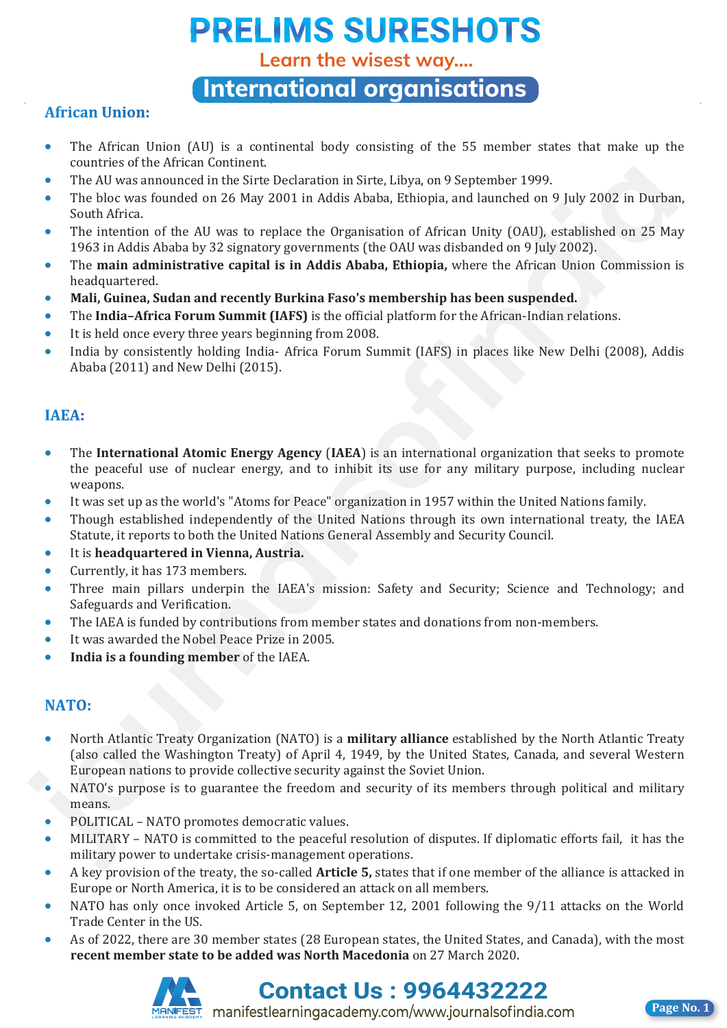**Learn the wisest way....**

**International organisations**

### **African Union:**

- The African Union (AU) is a continental body consisting of the 55 member states that make up the countries of the African Continent.
- The AU was announced in the Sirte Declaration in Sirte, Libya, on 9 September 1999.
- The bloc was founded on 26 May 2001 in Addis Ababa, Ethiopia, and launched on 9 July 2002 in Durban, South Africa.
- The intention of the AU was to replace the Organisation of African Unity (OAU), established on 25 May 1963 in Addis Ababa by 32 signatory governments (the OAU was disbanded on 9 July 2002).
- The **main administrative capital is in Addis Ababa, Ethiopia,** where the African Union Commission is headquartered.
- **Mali, Guinea, Sudan and recently Burkina Faso's membership has been suspended.**
- The **India–Africa Forum Summit (IAFS)** is the official platform for the African-Indian relations.
- It is held once every three years beginning from 2008.
- India by consistently holding India- Africa Forum Summit (IAFS) in places like New Delhi (2008), Addis Ababa (2011) and New Delhi (2015).

- The **International Atomic Energy Agency** (**IAEA**) is an international organization that seeks to promote the peaceful use of nuclear energy, and to inhibit its use for any military purpose, including nuclear weapons. **Finally are solutional controlling to Sire Declaration in Sirte, Libya on 9 September 1999.**<br>The blue was founded in the Sire Declaration in Sirte, they are 1998.<br>The blue was founded in the Sire Declaration of African Un
	- It was set up as the world's "Atoms for Peace" organization in 1957 within the United Nations family.
	- Though established independently of the United Nations through its own international treaty, the IAEA Statute, it reports to both the United Nations General Assembly and Security Council.
	- It is **headquartered in Vienna, Austria.**
	- Currently, it has 173 members.
	- Three main pillars underpin the IAEA's mission: Safety and Security; Science and Technology; and Safeguards and Verification.
	- The IAEA is funded by contributions from member states and donations from non-members.
	- It was awarded the Nobel Peace Prize in 2005.
	- **India is a founding member** of the IAEA.

- North Atlantic Treaty Organization (NATO) is a **military alliance** established by the North Atlantic Treaty (also called the Washington Treaty) of April 4, 1949, by the United States, Canada, and several Western European nations to provide collective security against the Soviet Union.
- NATO's purpose is to guarantee the freedom and security of its members through political and military means.
- POLITICAL NATO promotes democratic values.
- MILITARY NATO is committed to the peaceful resolution of disputes. If diplomatic efforts fail, it has the military power to undertake crisis-management operations.
- A key provision of the treaty, the so-called **Article 5,** states that if one member of the alliance is attacked in Europe or North America, it is to be considered an attack on all members.
- NATO has only once invoked Article 5, on September 12, 2001 following the 9/11 attacks on the World Trade Center in the US.
- As of 2022, there are 30 member states (28 European states, the United States, and Canada), with the most **recent member state to be added was North Macedonia** on 27 March 2020.





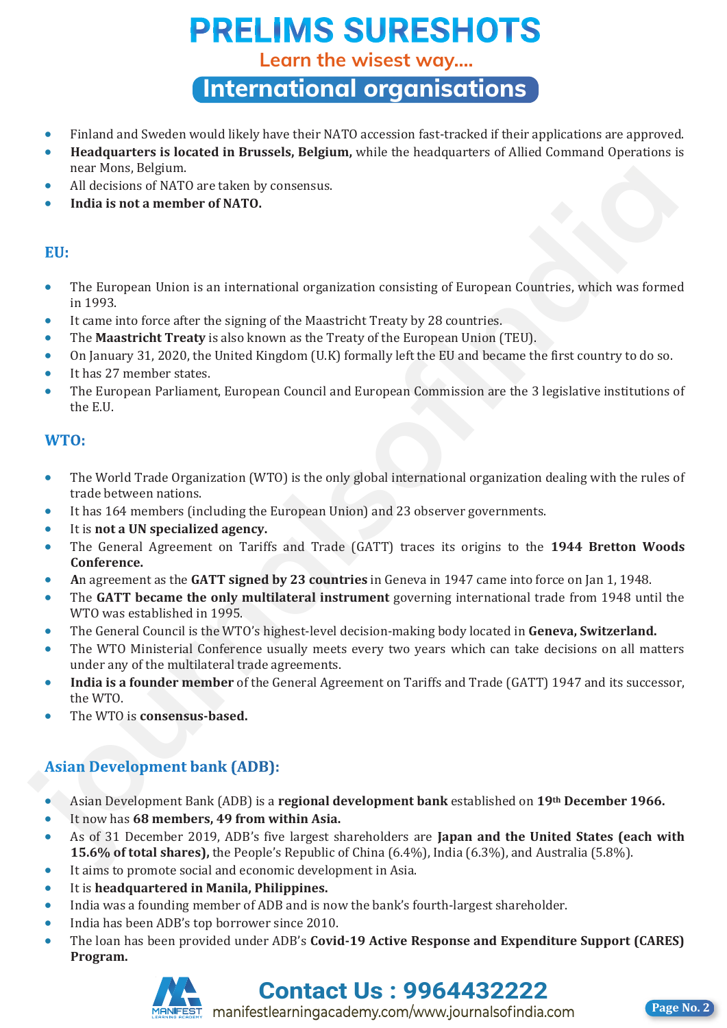**Learn the wisest way....**

**International organisations**

- Finland and Sweden would likely have their NATO accession fast-tracked if their applications are approved.
- **Headquarters is located in Brussels, Belgium,** while the headquarters of Allied Command Operations is near Mons, Belgium.
- All decisions of NATO are taken by consensus.
- **India is not a member of NATO.**

- The European Union is an international organization consisting of European Countries, which was formed in 1993. now Mone, Belgium.<br> **All decisions of (AATO are taken by consensus.**<br>
• All decisions of (AATO are taken by consensus.<br>
• India is not a member of NATO.<br>
• The Furment force after the activity and the Massimulation consist
	- It came into force after the signing of the Maastricht Treaty by 28 countries.
	- The **Maastricht Treaty** is also known as the Treaty of the European Union (TEU).
	- On January 31, 2020, the United Kingdom (U.K) formally left the EU and became the first country to do so.
	- It has 27 member states.
	- The European Parliament, European Council and European Commission are the 3 legislative institutions of the E.U.

- The World Trade Organization (WTO) is the only global international organization dealing with the rules of trade between nations.
- It has 164 members (including the European Union) and 23 observer governments.
- It is **not a UN specialized agency.**
- The General Agreement on Tariffs and Trade (GATT) traces its origins to the **1944 Bretton Woods Conference.**
- **A**n agreement as the **GATT signed by 23 countries** in Geneva in 1947 came into force on Jan 1, 1948.
- The **GATT became the only multilateral instrument** governing international trade from 1948 until the WTO was established in 1995.
- The General Council is the WTO's highest-level decision-making body located in **Geneva, Switzerland.**
- The WTO Ministerial Conference usually meets every two years which can take decisions on all matters under any of the multilateral trade agreements.
- **India is a founder member** of the General Agreement on Tariffs and Trade (GATT) 1947 and its successor, the WTO.
- The WTO is **consensus-based.**

- Asian Development Bank (ADB) is a **regional development bank** established on **19th December 1966.**
- It now has **68 members, 49 from within Asia.**
- As of 31 December 2019, ADB's five largest shareholders are **Japan and the United States (each with 15.6% of total shares),** the People's Republic of China (6.4%), India (6.3%), and Australia (5.8%).
- It aims to promote social and economic development in Asia.
- It is **headquartered in Manila, Philippines.**
- India was a founding member of ADB and is now the bank's fourth-largest shareholder.
- India has been ADB's top borrower since 2010.
- The loan has been provided under ADB's **Covid-19 Active Response and Expenditure Support (CARES) Program.**





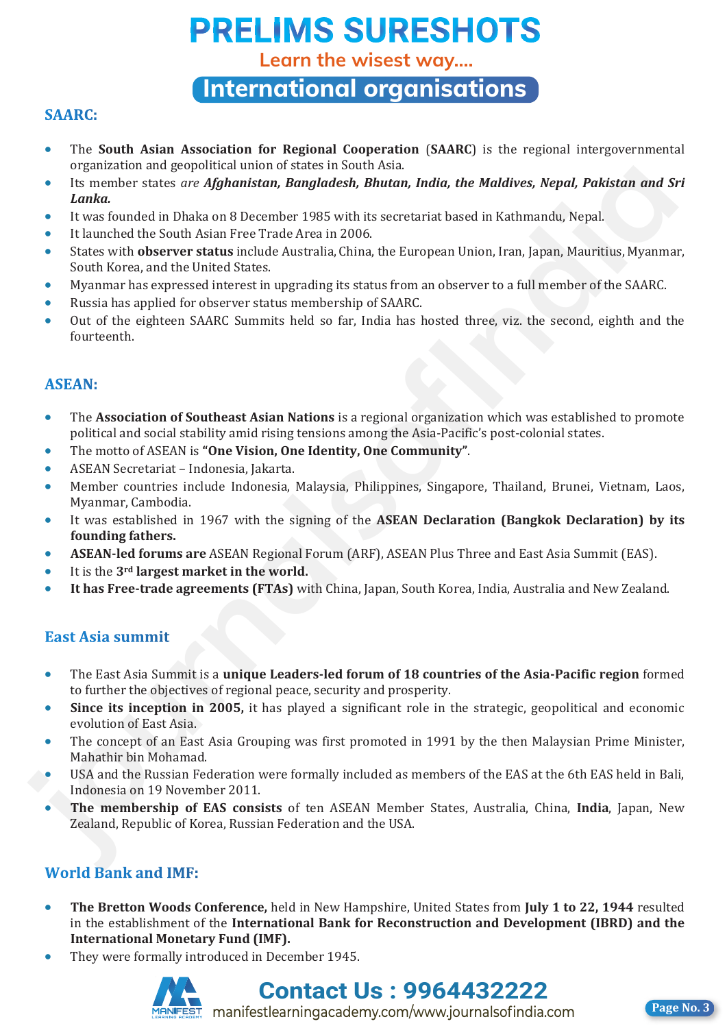**Learn the wisest way....**

**International organisations**

### **SAARC:**

- The **South Asian Association for Regional Cooperation** (**SAARC**) is the regional intergovernmental organization and geopolitical union of states in South Asia.
- Its member states *are Afghanistan, Bangladesh, Bhutan, India, the Maldives, Nepal, Pakistan and Sri Lanka.*
- It was founded in Dhaka on 8 December 1985 with its secretariat based in Kathmandu, Nepal.
- It launched the South Asian Free Trade Area in 2006.
- States with **observer status** include Australia, China, the European Union, Iran, Japan, Mauritius, Myanmar, South Korea, and the United States.
- Myanmar has expressed interest in upgrading its status from an observer to a full member of the SAARC.
- Russia has applied for observer status membership of SAARC.
- Out of the eighteen SAARC Summits held so far, India has hosted three, viz. the second, eighth and the fourteenth.

- The **Association of Southeast Asian Nations** is a regional organization which was established to promote political and social stability amid rising tensions among the Asia-Pacific's post-colonial states.
- The motto of ASEAN is **"One Vision, One Identity, One Community"**.
- ASEAN Secretariat Indonesia, Jakarta.
- Member countries include Indonesia, Malaysia, Philippines, Singapore, Thailand, Brunei, Vietnam, Laos, Myanmar, Cambodia. **5** superatoria and generator of the states one of the states one of the state of the state of the state of the state of the state of the state of the state of the state of the state of the state of the state of the state
	- It was established in 1967 with the signing of the **ASEAN Declaration (Bangkok Declaration) by its founding fathers.**
	- **ASEAN-led forums are** ASEAN Regional Forum (ARF), ASEAN Plus Three and East Asia Summit (EAS).
	- It is the **3rd largest market in the world.**
	- **It has Free-trade agreements (FTAs)** with China, Japan, South Korea, India, Australia and New Zealand.

- The East Asia Summit is a **unique Leaders-led forum of 18 countries of the Asia-Pacific region** formed to further the objectives of regional peace, security and prosperity.
- **Since its inception in 2005,** it has played a significant role in the strategic, geopolitical and economic evolution of East Asia.
- The concept of an East Asia Grouping was first promoted in 1991 by the then Malaysian Prime Minister, Mahathir bin Mohamad.
- USA and the Russian Federation were formally included as members of the EAS at the 6th EAS held in Bali, Indonesia on 19 November 2011.
- **The membership of EAS consists** of ten ASEAN Member States, Australia, China, **India**, Japan, New Zealand, Republic of Korea, Russian Federation and the USA.

- **The Bretton Woods Conference,** held in New Hampshire, United States from **July 1 to 22, 1944** resulted in the establishment of the **International Bank for Reconstruction and Development (IBRD) and the International Monetary Fund (IMF).**
- They were formally introduced in December 1945.



**Contact Us : 9964432222** manifestlearningacademy.com/www.journalsofindia.com **Page No. 3** 

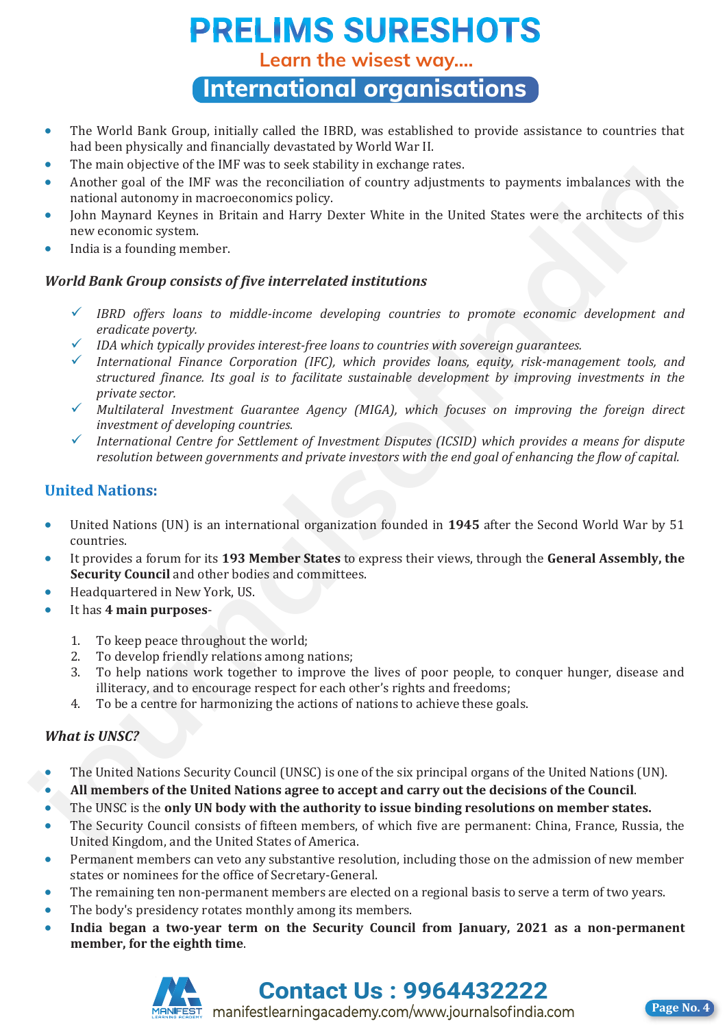**Learn the wisest way....**

**International organisations**

- The World Bank Group, initially called the IBRD, was established to provide assistance to countries that had been physically and financially devastated by World War II.
- The main objective of the IMF was to seek stability in exchange rates.
- Another goal of the IMF was the reconciliation of country adjustments to payments imbalances with the national autonomy in macroeconomics policy.
- John Maynard Keynes in Britain and Harry Dexter White in the United States were the architects of this new economic system.
- India is a founding member.

### *World Bank Group consists of five interrelated institutions*

- *IBRD offers loans to middle-income developing countries to promote economic development and eradicate poverty.*
- *IDA which typically provides interest-free loans to countries with sovereign guarantees.*
- *International Finance Corporation (IFC), which provides loans, equity, risk-management tools, and structured finance. Its goal is to facilitate sustainable development by improving investments in the private sector.* **F** Including the Way is a so secured in the Way in the same of the same of the same of the same of the same terms including the same of the same of the same of the same of the same of the same of the same of the same of t
	- *Multilateral Investment Guarantee Agency (MIGA), which focuses on improving the foreign direct investment of developing countries.*
	- *International Centre for Settlement of Investment Disputes (ICSID) which provides a means for dispute resolution between governments and private investors with the end goal of enhancing the flow of capital.*

- United Nations (UN) is an international organization founded in **1945** after the Second World War by 51 countries.
- It provides a forum for its **193 Member States** to express their views, through the **General Assembly, the Security Council** and other bodies and committees.
- Headquartered in New York, US.
- It has **4 main purposes**-
	- 1. To keep peace throughout the world;<br>2. To develop friendly relations among i
	- 2. To develop friendly relations among nations;<br>3. To help nations work together to improve t
	- 3. To help nations work together to improve the lives of poor people, to conquer hunger, disease and illiteracy, and to encourage respect for each other's rights and freedoms;
	- 4. To be a centre for harmonizing the actions of nations to achieve these goals.

### *What is UNSC?*

- The United Nations Security Council (UNSC) is one of the six principal organs of the United Nations (UN).
- **All members of the United Nations agree to accept and carry out the decisions of the Council**.
- The UNSC is the **only UN body with the authority to issue binding resolutions on member states.**
- The Security Council consists of fifteen members, of which five are permanent: China, France, Russia, the United Kingdom, and the United States of America.
- Permanent members can veto any substantive resolution, including those on the admission of new member states or nominees for the office of Secretary-General.
- The remaining ten non-permanent members are elected on a regional basis to serve a term of two years.
- The body's presidency rotates monthly among its members.
- **India began a two-year term on the Security Council from January, 2021 as a non-permanent member, for the eighth time**.



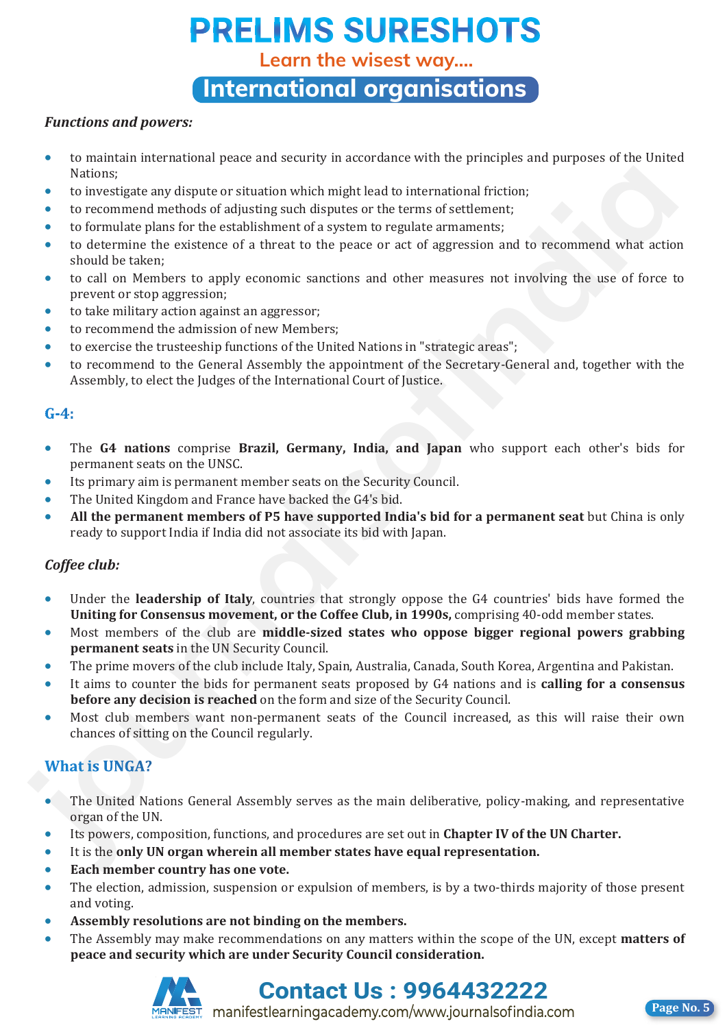**Learn the wisest way....**

**International organisations**

### *Functions and powers:*

- to maintain international peace and security in accordance with the principles and purposes of the United Nations;
- to investigate any dispute or situation which might lead to international friction;
- to recommend methods of adjusting such disputes or the terms of settlement;
- to formulate plans for the establishment of a system to regulate armaments;
- to determine the existence of a threat to the peace or act of aggression and to recommend what action should be taken;
- to call on Members to apply economic sanctions and other measures not involving the use of force to prevent or stop aggression; Mations:<br> **Followistics** any dispute or situation which might lead to international friction:<br> **Followistights and the metallical conductions** and depicted or the terms of settlement)<br> **Following the conduction of a three** 
	- to take military action against an aggressor;
	- to recommend the admission of new Members;
	- to exercise the trusteeship functions of the United Nations in "strategic areas";
	- to recommend to the General Assembly the appointment of the Secretary-General and, together with the Assembly, to elect the Judges of the International Court of Justice.

- The **G4 nations** comprise **Brazil, Germany, India, and Japan** who support each other's bids for permanent seats on the UNSC.
- Its primary aim is permanent member seats on the Security Council.
- The United Kingdom and France have backed the G4's bid.
- **All the permanent members of P5 have supported India's bid for a permanent seat** but China is only ready to support India if India did not associate its bid with Japan.

### *Coffee club:*

- Under the **leadership of Italy**, countries that strongly oppose the G4 countries' bids have formed the **Uniting for Consensus movement, or the Coffee Club, in 1990s,** comprising 40-odd member states.
- Most members of the club are **middle-sized states who oppose bigger regional powers grabbing permanent seats** in the UN Security Council.
- The prime movers of the club include Italy, Spain, Australia, Canada, South Korea, Argentina and Pakistan.
- It aims to counter the bids for permanent seats proposed by G4 nations and is **calling for a consensus before any decision is reached** on the form and size of the Security Council.
- Most club members want non-permanent seats of the Council increased, as this will raise their own chances of sitting on the Council regularly.

- The United Nations General Assembly serves as the main deliberative, policy-making, and representative organ of the UN.
- Its powers, composition, functions, and procedures are set out in **Chapter IV of the UN Charter.**
- It is the **only UN organ wherein all member states have equal representation.**
- **Each member country has one vote.**
- The election, admission, suspension or expulsion of members, is by a two-thirds majority of those present and voting.
- **Assembly resolutions are not binding on the members.**
- The Assembly may make recommendations on any matters within the scope of the UN, except **matters of peace and security which are under Security Council consideration.**



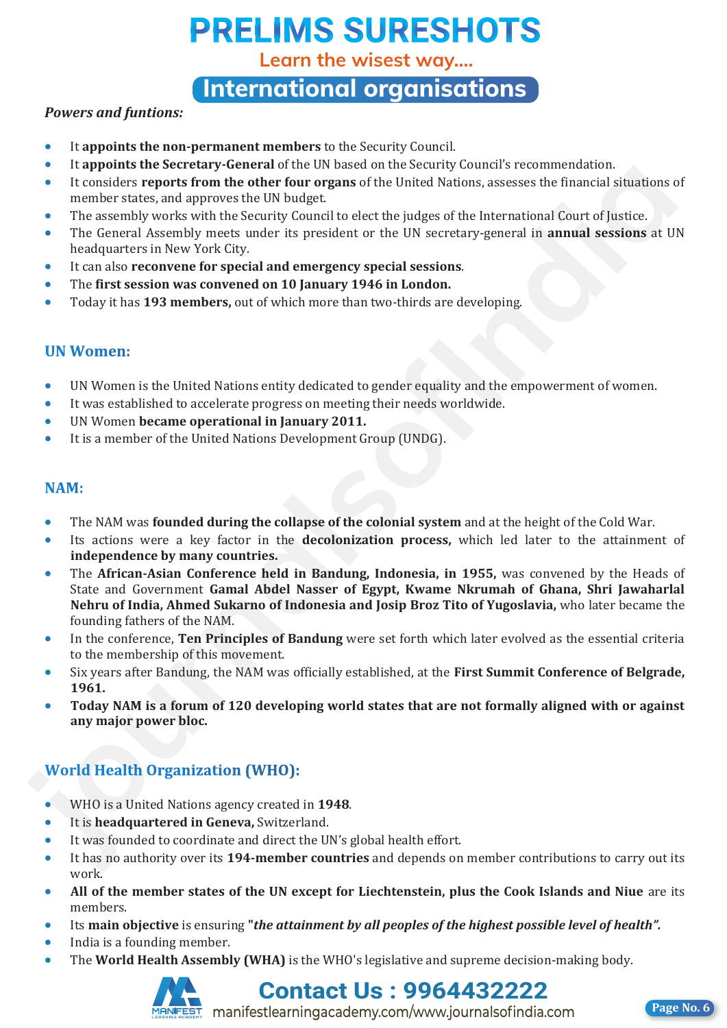**Learn the wisest way....**

**International organisations**

### *Powers and funtions:*

- It **appoints the non-permanent members** to the Security Council.
- It **appoints the Secretary-General** of the UN based on the Security Council's recommendation.
- It considers **reports from the other four organs** of the United Nations, assesses the financial situations of member states, and approves the UN budget.
- The assembly works with the Security Council to elect the judges of the International Court of Justice.
- The General Assembly meets under its president or the UN secretary-general in **annual sessions** at UN headquarters in New York City.
- It can also **reconvene for special and emergency special sessions**.
- The **first session was convened on 10 January 1946 in London.**
- Today it has **193 members,** out of which more than two-thirds are developing.

- UN Women is the United Nations entity dedicated to gender equality and the empowerment of women.
- It was established to accelerate progress on meeting their needs worldwide.
- UN Women **became operational in January 2011.**
- It is a member of the United Nations Development Group (UNDG).

- The NAM was **founded during the collapse of the colonial system** and at the height of the Cold War.
- Its actions were a key factor in the **decolonization process,** which led later to the attainment of **independence by many countries.**
- The **African-Asian Conference held in Bandung, Indonesia, in 1955,** was convened by the Heads of State and Government **Gamal Abdel Nasser of Egypt, Kwame Nkrumah of Ghana, Shri Jawaharlal Nehru of India, Ahmed Sukarno of Indonesia and Josip Broz Tito of Yugoslavia,** who later became the founding fathers of the NAM. **F** In gaptum sure sectoral y-stoches on its consistence of the studies that are the mandaton and the mandaton sure that the mandaton sure that the mandaton sure that the studies the financial studies of the General by me
	- In the conference, **Ten Principles of Bandung** were set forth which later evolved as the essential criteria to the membership of this movement.
	- Six years after Bandung, the NAM was officially established, at the **First Summit Conference of Belgrade, 1961.**
	- **Today NAM is a forum of 120 developing world states that are not formally aligned with or against any major power bloc.**

- WHO is a United Nations agency created in **1948**.
- It is **headquartered in Geneva,** Switzerland.
- It was founded to coordinate and direct the UN's global health effort.
- It has no authority over its **194-member countries** and depends on member contributions to carry out its work.
- **All of the member states of the UN except for Liechtenstein, plus the Cook Islands and Niue** are its members.
- Its **main objective** is ensuring **"***the attainment by all peoples of the highest possible level of health".*
- India is a founding member.
- The **World Health Assembly (WHA)** is the WHO's legislative and supreme decision-making body.



**Contact Us : 9964432222**

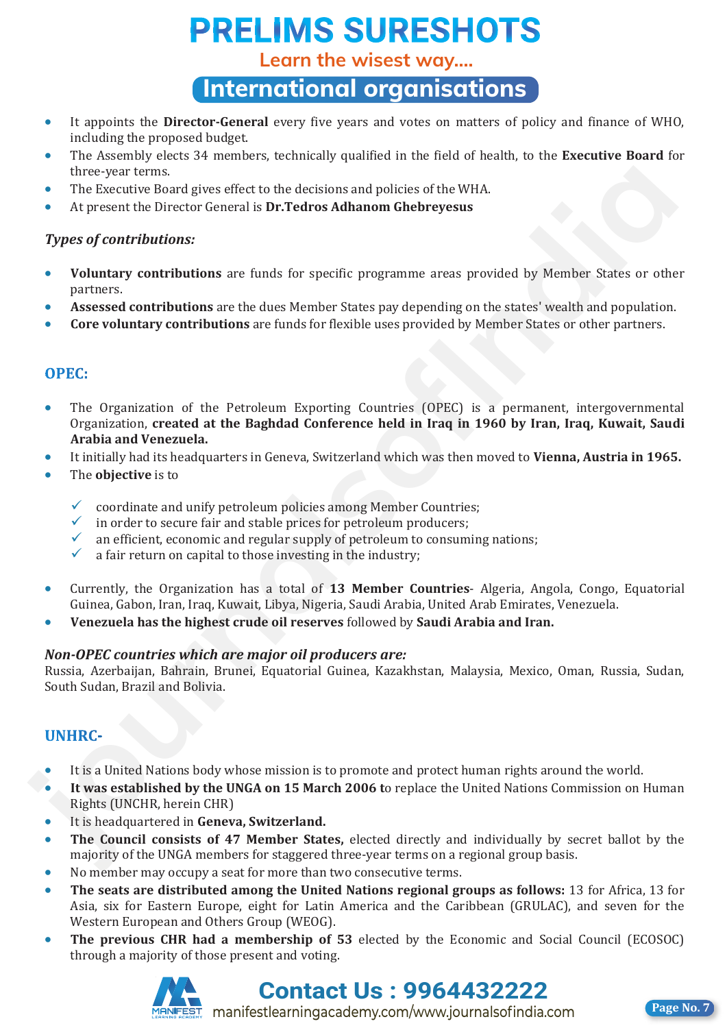**Learn the wisest way....**

**International organisations**

- It appoints the **Director-General** every five years and votes on matters of policy and finance of WHO, including the proposed budget.
- The Assembly elects 34 members, technically qualified in the field of health, to the **Executive Board** for three-year terms.
- The Executive Board gives effect to the decisions and policies of the WHA.
- At present the Director General is **Dr.Tedros Adhanom Ghebreyesus**

### *Types of contributions:*

- **Voluntary contributions** are funds for specific programme areas provided by Member States or other partners.
- **Assessed contributions** are the dues Member States pay depending on the states' wealth and population.
- **Core voluntary contributions** are funds for flexible uses provided by Member States or other partners.

- The Organization of the Petroleum Exporting Countries (OPEC) is a permanent, intergovernmental Organization, **created at the Baghdad Conference held in Iraq in 1960 by Iran, Iraq, Kuwait, Saudi Arabia and Venezuela.**  thes-year terms.<br> **i**The Rescultive Roard gives effect to the decisions and policies of the WHA.<br>
A procent the Director General is Dr.Tedros Adhanom Ghebreyesus<br> **Types** of contributions are funds for specific programme
	- It initially had its headquarters in Geneva, Switzerland which was then moved to **Vienna, Austria in 1965.**
	- The **objective** is to
		- coordinate and unify petroleum policies among Member Countries;
		- in order to secure fair and stable prices for petroleum producers;
		- an efficient, economic and regular supply of petroleum to consuming nations;<br>  $\checkmark$  a fair return on capital to those investing in the industry:
		- a fair return on capital to those investing in the industry;
	- Currently, the Organization has a total of **13 Member Countries** Algeria, Angola, Congo, Equatorial Guinea, Gabon, Iran, Iraq, Kuwait, Libya, Nigeria, Saudi Arabia, United Arab Emirates, Venezuela.
	- **Venezuela has the highest crude oil reserves** followed by **Saudi Arabia and Iran.**

### *Non-OPEC countries which are major oil producers are:*

Russia, Azerbaijan, Bahrain, Brunei, Equatorial Guinea, Kazakhstan, Malaysia, Mexico, Oman, Russia, Sudan, South Sudan, Brazil and Bolivia.

- It is a United Nations body whose mission is to promote and protect human rights around the world.
- **It was established by the UNGA on 15 March 2006 t**o replace the United Nations Commission on Human Rights (UNCHR, herein CHR)
- It is headquartered in **Geneva, Switzerland.**
- **The Council consists of 47 Member States,** elected directly and individually by secret ballot by the majority of the UNGA members for staggered three-year terms on a regional group basis.
- No member may occupy a seat for more than two consecutive terms.
- **The seats are distributed among the United Nations regional groups as follows:** 13 for Africa, 13 for Asia, six for Eastern Europe, eight for Latin America and the Caribbean (GRULAC), and seven for the Western European and Others Group (WEOG).
- The previous CHR had a membership of 53 elected by the Economic and Social Council (ECOSOC) through a majority of those present and voting.



**Contact Us : 9964432222**

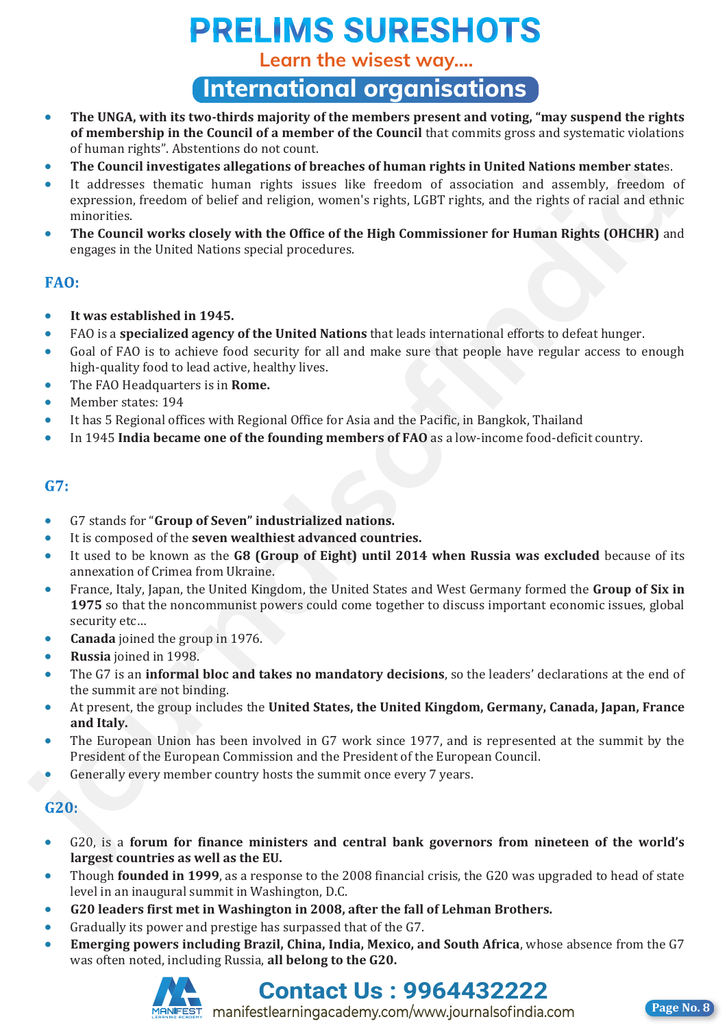**Learn the wisest way....**

**International organisations**

- **The UNGA, with its two-thirds majority of the members present and voting, "may suspend the rights of membership in the Council of a member of the Council** that commits gross and systematic violations of human rights". Abstentions do not count.
- **The Council investigates allegations of breaches of human rights in United Nations member state**s.
- It addresses thematic human rights issues like freedom of association and assembly, freedom of expression, freedom of belief and religion, women's rights, LGBT rights, and the rights of racial and ethnic minorities. **FIGURE CONSULTER SUGGETER SUGGETERS** of Directions of Directions of Directions and the Color (and Color Color) and the rights of reaction of a societient of the method color color color color color color color (and Color
	- **The Council works closely with the Office of the High Commissioner for Human Rights (OHCHR)** and engages in the United Nations special procedures.

- **It was established in 1945.**
- FAO is a **specialized agency of the United Nations** that leads international efforts to defeat hunger.
- Goal of FAO is to achieve food security for all and make sure that people have regular access to enough high-quality food to lead active, healthy lives.
- The FAO Headquarters is in **Rome.**
- Member states: 194
- It has 5 Regional offices with Regional Office for Asia and the Pacific, in Bangkok, Thailand
- In 1945 **India became one of the founding members of FAO** as a low-income food-deficit country.

- G7 stands for "**Group of Seven" industrialized nations.**
- It is composed of the **seven wealthiest advanced countries.**
- It used to be known as the **G8 (Group of Eight) until 2014 when Russia was excluded** because of its annexation of Crimea from Ukraine.
- France, Italy, Japan, the United Kingdom, the United States and West Germany formed the **Group of Six in 1975** so that the noncommunist powers could come together to discuss important economic issues, global security etc…
- **Canada** joined the group in 1976.
- **Russia** joined in 1998.
- The G7 is an **informal bloc and takes no mandatory decisions**, so the leaders' declarations at the end of the summit are not binding.
- At present, the group includes the **United States, the United Kingdom, Germany, Canada, Japan, France and Italy.**
- The European Union has been involved in G7 work since 1977, and is represented at the summit by the President of the European Commission and the President of the European Council.
- Generally every member country hosts the summit once every 7 years.

- G20, is a **forum for finance ministers and central bank governors from nineteen of the world's largest countries as well as the EU.**
- Though **founded in 1999**, as a response to the 2008 financial crisis, the G20 was upgraded to head of state level in an inaugural summit in Washington, D.C.
- **G20 leaders first met in Washington in 2008, after the fall of Lehman Brothers.**
- Gradually its power and prestige has surpassed that of the G7.
- **Emerging powers including Brazil, China, India, Mexico, and South Africa**, whose absence from the G7 was often noted, including Russia, **all belong to the G20.**





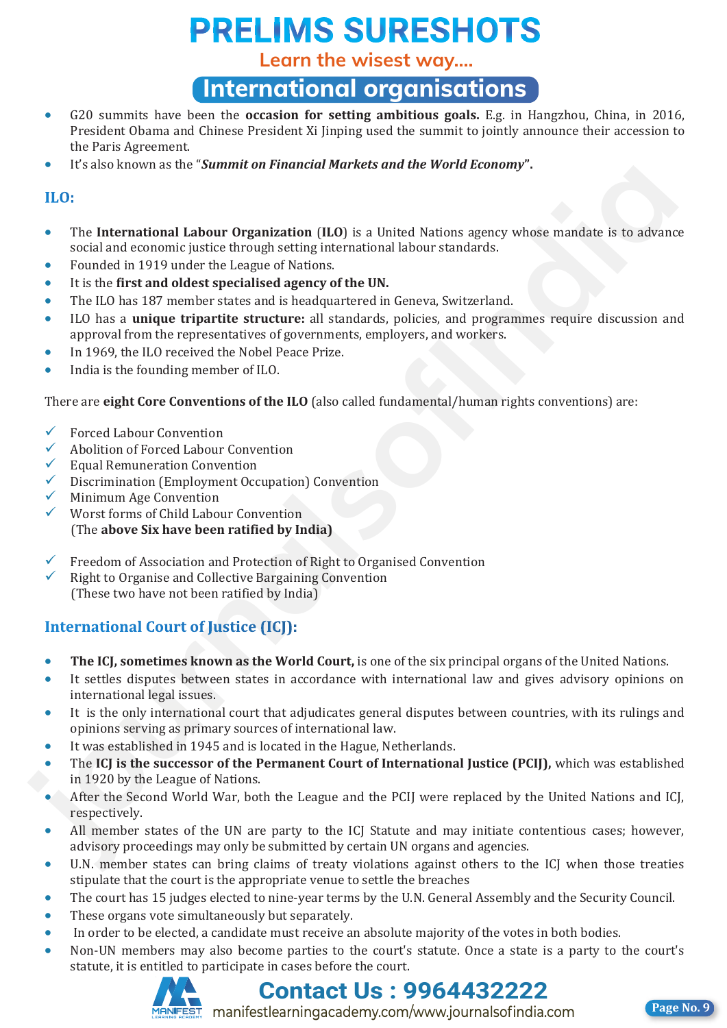**Learn the wisest way....**

## **International organisations**

- G20 summits have been the **occasion for setting ambitious goals.** E.g. in Hangzhou, China, in 2016, President Obama and Chinese President Xi Jinping used the summit to jointly announce their accession to the Paris Agreement.
- It's also known as the "*Summit on Financial Markets and the World Economy***".**

- The **International Labour Organization** (**ILO**) is a United Nations agency whose mandate is to advance social and economic justice through setting international labour standards.
- Founded in 1919 under the League of Nations.
- It is the **first and oldest specialised agency of the UN.**
- The ILO has 187 member states and is headquartered in Geneva, Switzerland.
- ILO has a **unique tripartite structure:** all standards, policies, and programmes require discussion and approval from the representatives of governments, employers, and workers.
- In 1969, the ILO received the Nobel Peace Prize.
- India is the founding member of ILO.

There are **eight Core Conventions of the ILO** (also called fundamental/human rights conventions) are:

- $\checkmark$  Forced Labour Convention
- Abolition of Forced Labour Convention
- $\checkmark$  Equal Remuneration Convention<br> $\checkmark$  Discrimination (Employment Occ
- Discrimination (Employment Occupation) Convention
- Minimum Age Convention
- Worst forms of Child Labour Convention (The **above Six have been ratified by India)**
- $\checkmark$  Freedom of Association and Protection of Right to Organised Convention
- $\checkmark$  Right to Organise and Collective Bargaining Convention (These two have not been ratified by India)

- **The ICJ, sometimes known as the World Court,** is one of the six principal organs of the United Nations.
- It settles disputes between states in accordance with international law and gives advisory opinions on international legal issues. **F** In the mean of the mean of the mean of the mean of the mean of the state of the state of the state of the state of the state of the state of the state of the state of the state of the state of the state of the state of
	- It is the only international court that adjudicates general disputes between countries, with its rulings and opinions serving as primary sources of international law.
	- It was established in 1945 and is located in the Hague, Netherlands.
	- The **ICJ is the successor of the Permanent Court of International Justice (PCIJ),** which was established in 1920 by the League of Nations.
	- After the Second World War, both the League and the PCIJ were replaced by the United Nations and ICJ, respectively.
	- All member states of the UN are party to the ICJ Statute and may initiate contentious cases; however, advisory proceedings may only be submitted by certain UN organs and agencies.
	- U.N. member states can bring claims of treaty violations against others to the ICJ when those treaties stipulate that the court is the appropriate venue to settle the breaches
	- The court has 15 judges elected to nine-year terms by the U.N. General Assembly and the Security Council.
	- These organs vote simultaneously but separately.
	- In order to be elected, a candidate must receive an absolute majority of the votes in both bodies.
	- Non-UN members may also become parties to the court's statute. Once a state is a party to the court's statute, it is entitled to participate in cases before the court.



## **Contact Us : 9964432222**

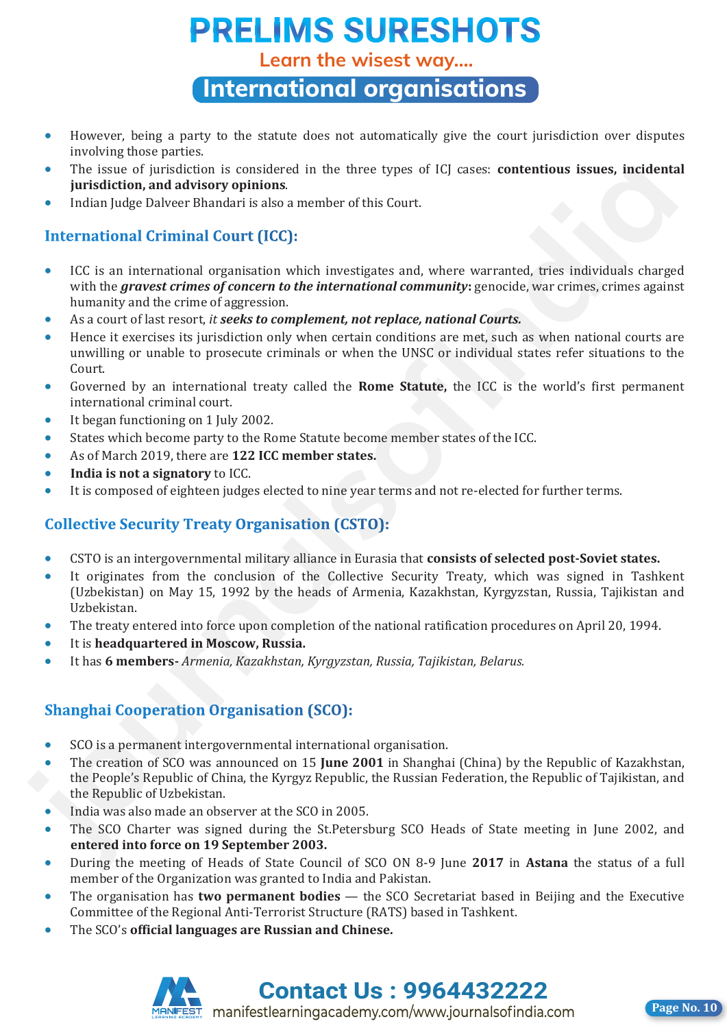**Learn the wisest way....**

**International organisations**

- However, being a party to the statute does not automatically give the court jurisdiction over disputes involving those parties.
- The issue of jurisdiction is considered in the three types of ICJ cases: **contentious issues, incidental jurisdiction, and advisory opinions**.
- Indian Judge Dalveer Bhandari is also a member of this Court.

- ICC is an international organisation which investigates and, where warranted, tries individuals charged with the *gravest crimes of concern to the international community***:** genocide, war crimes, crimes against humanity and the crime of aggression. • The issue of jurisdiction is considered in the three types of iG cases: **contentions issues**, incleand<br>
in intradiction and advisory optimins.<br>
• Indian lule District Undustrial Court (ICC):<br> **internal only buyer dista** 
	- As a court of last resort, *it seeks to complement, not replace, national Courts.*
	- Hence it exercises its jurisdiction only when certain conditions are met, such as when national courts are unwilling or unable to prosecute criminals or when the UNSC or individual states refer situations to the Court.
	- Governed by an international treaty called the **Rome Statute,** the ICC is the world's first permanent international criminal court.
	- It began functioning on 1 July 2002.
	- States which become party to the Rome Statute become member states of the ICC.
	- As of March 2019, there are **122 ICC member states.**
	- **India is not a signatory** to ICC.
	- It is composed of eighteen judges elected to nine year terms and not re-elected for further terms.

- CSTO is an intergovernmental military alliance in Eurasia that **consists of selected post-Soviet states.**
- It originates from the conclusion of the Collective Security Treaty, which was signed in Tashkent (Uzbekistan) on May 15, 1992 by the heads of Armenia, Kazakhstan, Kyrgyzstan, Russia, Tajikistan and Uzbekistan.
- The treaty entered into force upon completion of the national ratification procedures on April 20, 1994.
- It is **headquartered in Moscow, Russia.**
- It has **6 members-** *Armenia, Kazakhstan, Kyrgyzstan, Russia, Tajikistan, Belarus.*

- SCO is a permanent intergovernmental international organisation.
- The creation of SCO was announced on 15 **June 2001** in Shanghai (China) by the Republic of Kazakhstan, the People's Republic of China, the Kyrgyz Republic, the Russian Federation, the Republic of Tajikistan, and the Republic of Uzbekistan.
- India was also made an observer at the SCO in 2005.
- The SCO Charter was signed during the St.Petersburg SCO Heads of State meeting in June 2002, and **entered into force on 19 September 2003.**
- During the meeting of Heads of State Council of SCO ON 8-9 June **2017** in **Astana** the status of a full member of the Organization was granted to India and Pakistan.
- The organisation has **two permanent bodies** the SCO Secretariat based in Beijing and the Executive Committee of the Regional Anti-Terrorist Structure (RATS) based in Tashkent.
- The SCO's **official languages are Russian and Chinese.**



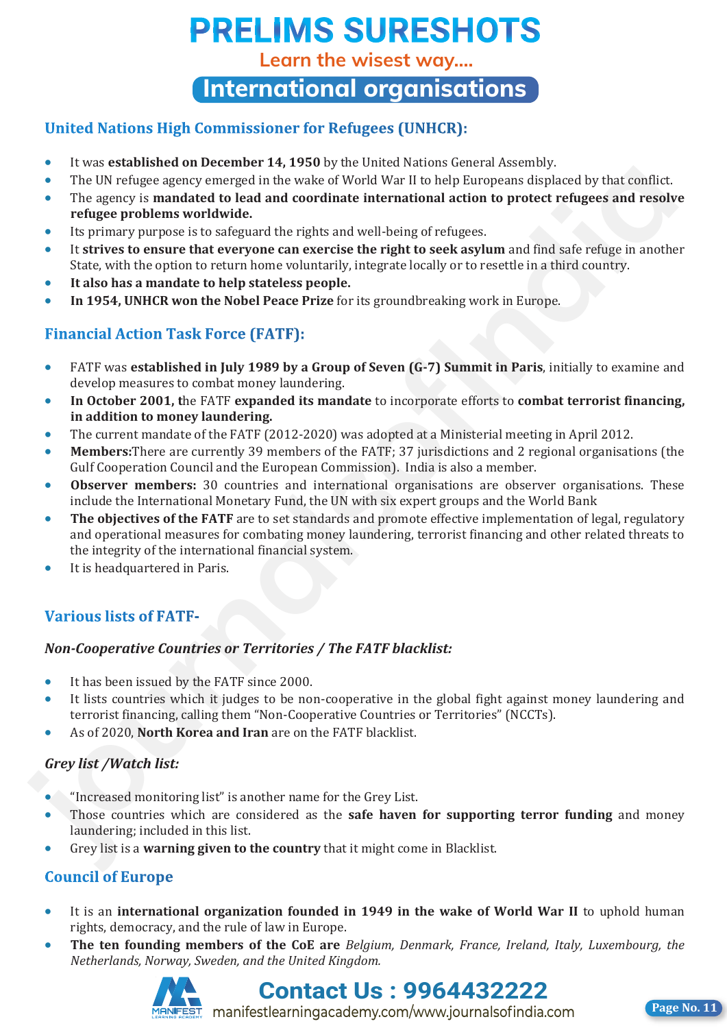**Learn the wisest way....**

**International organisations**

### **United Nations High Commissioner for Refugees (UNHCR):** It was **established on December 14, 1950** by the United Nations General Assembly.

- **.** It was **established on December 14, 1950** by the United Nations General Assembly.
- The UN refugee agency emerged in the wake of World War II to help Europeans displaced by that conflict.
- The agency is mandated to lead and coordinate international action to protect refugees and resolve refugee problems worldwide.
- **Its primary purpose is to safeguard the rights and well-being of refugees.**
- It strives to ensure that everyone can exercise the right to seek asylum and find safe refuge in another State, with the option to return home voluntarily, integrate locally or to resettle in a third country.
- **It also has a mandate to help stateless people.**
- **In 1954, UNHCR won the Nobel Peace Prize** for its groundbreaking work in Europe.

## FATF was **established in July 1989 by a Group of Seven (G-7) Summit in Paris**, initially to examine and

- **•** FATF was **established in July 1989 by a Group of Seven (G-7) Summit in Paris**, initially to examine and develop measures to combat money laundering. **In the FATF expanding** the FATF efforts to incorporate efforts to incorporate efforts to incorporate efforts to incorporate efforts to incorporate efforts to incorporate effort
- In October 2001, the FATF expanded its mandate to incorporate efforts to combat terrorist financing, **in addition to money laundering.**<br> **The current mandate of the FATF (2012-2020)** was adopted at a Ministerial meeting in April 2012.
- **•** The current mandate of the FATF (2012-2020) was adopted at a Ministerial meeting in April 2012.
- Members: There are currently 39 members of the FATF; 37 jurisdictions and 2 regional organisations (the Gulf Cooperation Council and the European Commission). India is also a member.
- **· Observer members:** 30 countries and international organisations are observer organisations. These include the International Monetary Fund, the UN with six expert groups and the World Bank
- **The objectives of the FATF** are to set standards and promote effective implementation of legal, regulatory and operational measures for combating money laundering, terrorist financing and other related threats to the integrity of the international financial system. **FIGURE THE UNITERATIVE CONSULTERATIVE AND INTERFERENCE IN A SECTION INTERFERENCE IN the SAME VERTIFIC AND INTERFERENCE IN THE SURVEY INTO A SURFACE THE SURVEY INTO THE SURFACE POPULATION IS THE SURFACE CONDUCT INTERFERENC** 
	- It is headquartered in Paris.

### *Non-Cooperative Countries or Territories / The FATF blacklist:* It has been issued by the FATF since 2000.

- It has been issued by the FATF since 2000.
- It lists countries which it judges to be non-cooperative in the global fight against money laundering and terrorist financing, calling them "Non-Cooperative Countries or Territories" (NCCTs).
- As of 2020, **North Korea and Iran** are on the FATF blacklist. *Grey list /Watch list:*

### *Grey list /Watch list:*  $\sum_{i=1}^n\binom{n-i}{i}$  is another name for the Grey List.

- **•** "Increased monitoring list" is another name for the Grey List.
- **•** Those countries which are considered as the safe haven for supporting terror funding and money laundering; included in this list.
- Grey list is a **warning given to the country** that it might come in Blacklist.

- It is an **international organization founded in 1949 in the wake of World War II** to uphold human rights, democracy, and the rule of law in Europe. It is an **international organization founded in 1949 in the wake of World War II** to uphold human
- The ten founding members of the CoE are *Belgium, Denmark, France, Ireland, Italy, Luxembourg, the* **The ten founding members of the CoE are** *Belgium, Denmark, France, Ireland, Italy, Luxembourg, the Netherlands, Norway, Sweden, and the United Kingdom.*



**Netherlands**, Sweden, Sweden, 2006-14322222

**Page No. 11**

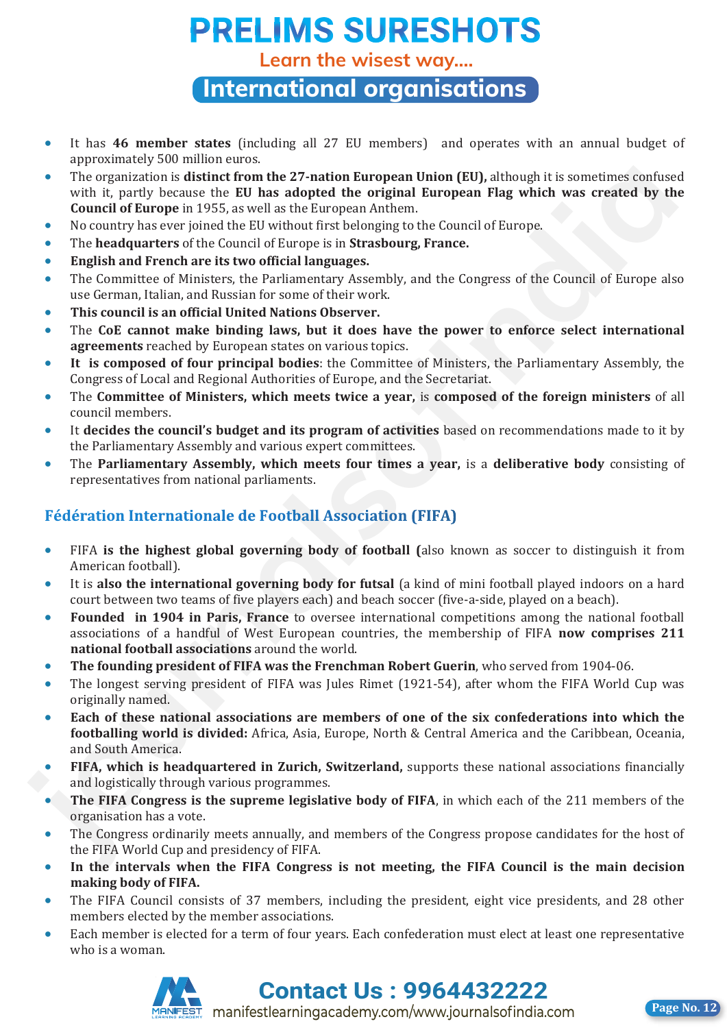**Learn the wisest way....**

**International organisations**

- It has **46 member states** (including all 27 EU members) and operates with an annual budget of approximately 500 million euros.
- The organization is **distinct from the 27-nation European Union (EU),** although it is sometimes confused with it, partly because the **EU has adopted the original European Flag which was created by the Council of Europe** in 1955, as well as the European Anthem.
- No country has ever joined the EU without first belonging to the Council of Europe.
- The **headquarters** of the Council of Europe is in **Strasbourg, France.**
- **English and French are its two official languages.**
- The Committee of Ministers, the Parliamentary Assembly, and the Congress of the Council of Europe also use German, Italian, and Russian for some of their work.
- **This council is an official United Nations Observer.**
- The **CoE cannot make binding laws, but it does have the power to enforce select international agreements** reached by European states on various topics.
- **It is composed of four principal bodies**: the Committee of Ministers, the Parliamentary Assembly, the Congress of Local and Regional Authorities of Europe, and the Secretariat.
- The **Committee of Ministers, which meets twice a year,** is **composed of the foreign ministers** of all council members.
- It **decides the council's budget and its program of activities** based on recommendations made to it by the Parliamentary Assembly and various expert committees.
- The **Parliamentary Assembly, which meets four times a year,** is a **deliberative body** consisting of representatives from national parliaments.

- FIFA **is the highest global governing body of football (**also known as soccer to distinguish it from American football).
- It is **also the international governing body for futsal** (a kind of mini football played indoors on a hard court between two teams of five players each) and beach soccer (five-a-side, played on a beach).
- **Founded in 1904 in Paris, France** to oversee international competitions among the national football associations of a handful of West European countries, the membership of FIFA **now comprises 211 national football associations** around the world. **F** The organization is bitter from the 27-matrix propean Union (EU), although it is sometrates confronted by the Norman More. Not the Norman More in the Norman More is the Norman More in 1955, as well as the Roman More in
	- **The founding president of FIFA was the Frenchman Robert Guerin**, who served from 1904-06.
	- The longest serving president of FIFA was Jules Rimet (1921-54), after whom the FIFA World Cup was originally named.
	- **Each of these national associations are members of one of the six confederations into which the footballing world is divided:** Africa, Asia, Europe, North & Central America and the Caribbean, Oceania, and South America.
	- **FIFA, which is headquartered in Zurich, Switzerland,** supports these national associations financially and logistically through various programmes.
	- **The FIFA Congress is the supreme legislative body of FIFA**, in which each of the 211 members of the organisation has a vote.
	- The Congress ordinarily meets annually, and members of the Congress propose candidates for the host of the FIFA World Cup and presidency of FIFA.
	- **In the intervals when the FIFA Congress is not meeting, the FIFA Council is the main decision making body of FIFA.**
	- The FIFA Council consists of 37 members, including the president, eight vice presidents, and 28 other members elected by the member associations.
	- Each member is elected for a term of four years. Each confederation must elect at least one representative who is a woman.



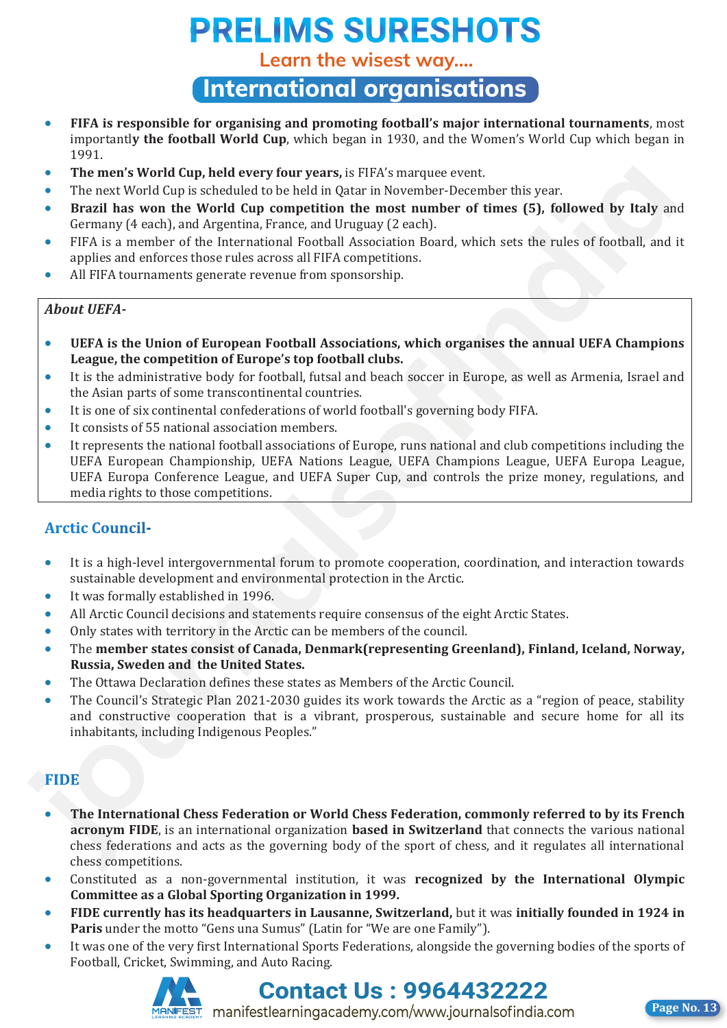**Learn the wisest way....**

### **International organisations**

- **FIFA is responsible for organising and promoting football's major international tournaments**, most importantl**y the football World Cup**, which began in 1930, and the Women's World Cup which began in 1991.
- **The men's World Cup, held every four years,** is FIFA's marquee event.
- The next World Cup is scheduled to be held in Qatar in November-December this year.
- **Brazil has won the World Cup competition the most number of times (5), followed by Italy** and Germany (4 each), and Argentina, France, and Uruguay (2 each).
- FIFA is a member of the International Football Association Board, which sets the rules of football, and it applies and enforces those rules across all FIFA competitions.
- All FIFA tournaments generate revenue from sponsorship.

### *About UEFA-*

- **UEFA is the Union of European Football Associations, which organises the annual UEFA Champions League, the competition of Europe's top football clubs.**
- It is the administrative body for football, futsal and beach soccer in Europe, as well as Armenia, Israel and the Asian parts of some transcontinental countries.
- It is one of six continental confederations of world football's governing body FIFA.
- It consists of 55 national association members.
- It represents the national football associations of Europe, runs national and club competitions including the UEFA European Championship, UEFA Nations League, UEFA Champions League, UEFA Europa League, UEFA Europa Conference League, and UEFA Super Cup, and controls the prize money, regulations, and media rights to those competitions.

- It is a high-level intergovernmental forum to promote cooperation, coordination, and interaction towards sustainable development and environmental protection in the Arctic.
- It was formally established in 1996.
- All Arctic Council decisions and statements require consensus of the eight Arctic States.
- Only states with territory in the Arctic can be members of the council.
- The **member states consist of Canada, Denmark(representing Greenland), Finland, Iceland, Norway, Russia, Sweden and the United States.**
- The Ottawa Declaration defines these states as Members of the Arctic Council.
- The Council's Strategic Plan 2021-2030 guides its work towards the Arctic as a "region of peace, stability and constructive cooperation that is a vibrant, prosperous, sustainable and secure home for all its inhabitants, including Indigenous Peoples."

- **The International Chess Federation or World Chess Federation, commonly referred to by its French acronym FIDE**, is an international organization **based in Switzerland** that connects the various national chess federations and acts as the governing body of the sport of chess, and it regulates all international chess competitions. • **The meats World Copy, held every four years, is FIRS: nonzupe create.** The part of the meat World Copy is scheduled to be held in Quartam November-December this year.<br> **i.** Harzal has won the World Cup to competition
	- Constituted as a non-governmental institution, it was **recognized by the International Olympic Committee as a Global Sporting Organization in 1999.**
	- **FIDE currently has its headquarters in Lausanne, Switzerland,** but it was **initially founded in 1924 in Paris** under the motto "Gens una Sumus" (Latin for "We are one Family").
	- It was one of the very first International Sports Federations, alongside the governing bodies of the sports of Football, Cricket, Swimming, and Auto Racing.



### **Contact Us : 9964432222**

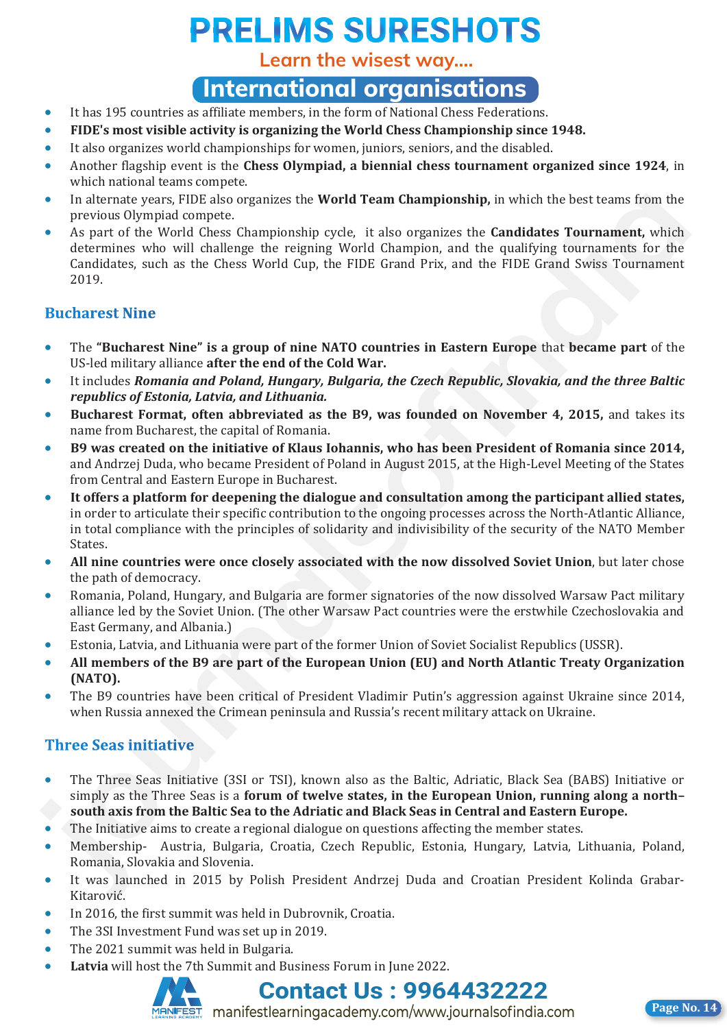**Learn the wisest way....**

## **International organisations**

- It has 195 countries as affiliate members, in the form of National Chess Federations.
- **FIDE's most visible activity is organizing the World Chess Championship since 1948.**
- It also organizes world championships for women, juniors, seniors, and the disabled.
- Another flagship event is the **Chess Olympiad, a biennial chess tournament organized since 1924**, in which national teams compete.
- In alternate years, FIDE also organizes the **World Team Championship,** in which the best teams from the previous Olympiad compete.
- As part of the World Chess Championship cycle, it also organizes the **Candidates Tournament,** which determines who will challenge the reigning World Champion, and the qualifying tournaments for the Candidates, such as the Chess World Cup, the FIDE Grand Prix, and the FIDE Grand Swiss Tournament 2019. **in alterate years, FIDS also organizes the World Team Championship, in which the best teams from the prior of the World Chess Champions, which is a organized to calculate Teams which determines with control determines wit**

- The **"Bucharest Nine" is a group of nine NATO countries in Eastern Europe** that **became part** of the US-led military alliance **after the end of the Cold War.**
- It includes *Romania and Poland, Hungary, Bulgaria, the Czech Republic, Slovakia, and the three Baltic republics of Estonia, Latvia, and Lithuania.*
- **Bucharest Format, often abbreviated as the B9, was founded on November 4, 2015,** and takes its name from Bucharest, the capital of Romania.
- **B9 was created on the initiative of Klaus Iohannis, who has been President of Romania since 2014,** and Andrzej Duda, who became President of Poland in August 2015, at the High-Level Meeting of the States from Central and Eastern Europe in Bucharest.
- **It offers a platform for deepening the dialogue and consultation among the participant allied states,** in order to articulate their specific contribution to the ongoing processes across the North-Atlantic Alliance, in total compliance with the principles of solidarity and indivisibility of the security of the NATO Member States.
- **All nine countries were once closely associated with the now dissolved Soviet Union**, but later chose the path of democracy.
- Romania, Poland, Hungary, and Bulgaria are former signatories of the now dissolved Warsaw Pact military alliance led by the Soviet Union. (The other Warsaw Pact countries were the erstwhile Czechoslovakia and East Germany, and Albania.)
- Estonia, Latvia, and Lithuania were part of the former Union of Soviet Socialist Republics (USSR).
- **All members of the B9 are part of the European Union (EU) and North Atlantic Treaty Organization (NATO).**
- The B9 countries have been critical of President Vladimir Putin's aggression against Ukraine since 2014, when Russia annexed the Crimean peninsula and Russia's recent military attack on Ukraine.

- The Three Seas Initiative (3SI or TSI), known also as the Baltic, Adriatic, Black Sea (BABS) Initiative or simply as the Three Seas is a **forum of twelve states, in the European Union, running along a north– south axis from the Baltic Sea to the Adriatic and Black Seas in Central and Eastern Europe.**
- The Initiative aims to create a regional dialogue on questions affecting the member states.
- Membership- Austria, Bulgaria, Croatia, Czech Republic, Estonia, Hungary, Latvia, Lithuania, Poland, Romania, Slovakia and Slovenia.
- It was launched in 2015 by Polish President Andrzej Duda and Croatian President Kolinda Grabar-Kitarović.
- In 2016, the first summit was held in Dubrovnik, Croatia.
- The 3SI Investment Fund was set up in 2019.
- The 2021 summit was held in Bulgaria.
- **Latvia** will host the 7th Summit and Business Forum in June 2022.





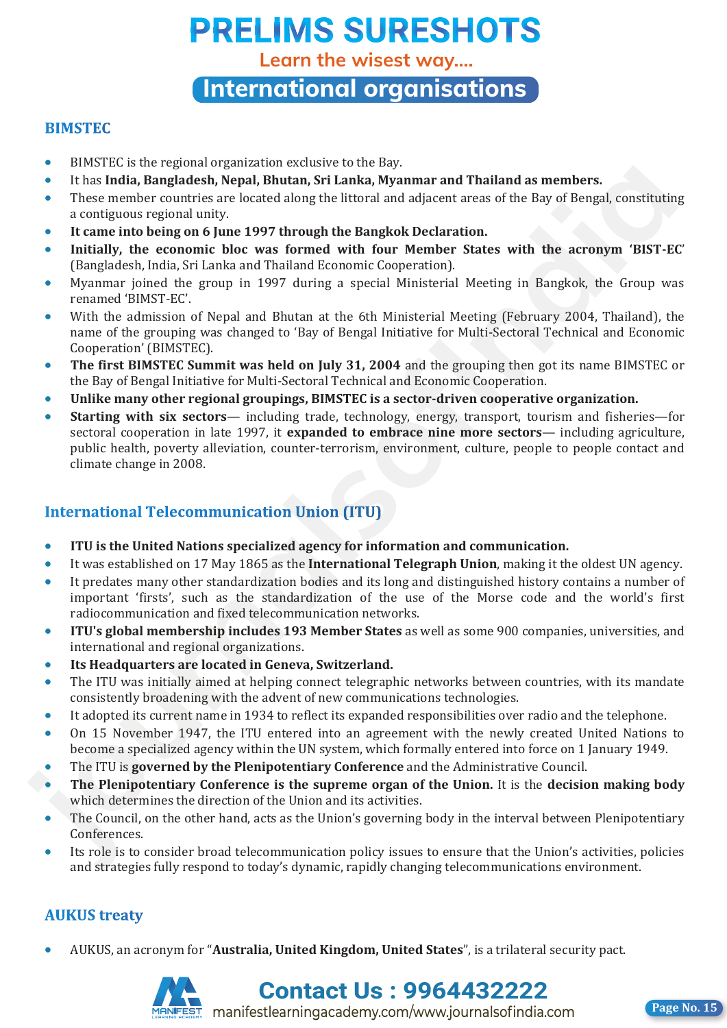**Learn the wisest way....**

**International organisations**

### **BIMSTEC**

- BIMSTEC is the regional organization exclusive to the Bay.
- It has **India, Bangladesh, Nepal, Bhutan, Sri Lanka, Myanmar and Thailand as members.**
- These member countries are located along the littoral and adjacent areas of the Bay of Bengal, constituting a contiguous regional unity.
- **It came into being on 6 June 1997 through the Bangkok Declaration.**
- **Initially, the economic bloc was formed with four Member States with the acronym 'BIST-EC**' (Bangladesh, India, Sri Lanka and Thailand Economic Cooperation).
- Myanmar joined the group in 1997 during a special Ministerial Meeting in Bangkok, the Group was renamed 'BIMST-EC'.
- With the admission of Nepal and Bhutan at the 6th Ministerial Meeting (February 2004, Thailand), the name of the grouping was changed to 'Bay of Bengal Initiative for Multi-Sectoral Technical and Economic Cooperation' (BIMSTEC).
- **The first BIMSTEC Summit was held on July 31, 2004** and the grouping then got its name BIMSTEC or the Bay of Bengal Initiative for Multi-Sectoral Technical and Economic Cooperation.
- **Unlike many other regional groupings, BIMSTEC is a sector-driven cooperative organization.**
- **Starting with six sectors** including trade, technology, energy, transport, tourism and fisheries—for sectoral cooperation in late 1997, it **expanded to embrace nine more sectors**— including agriculture, public health, poverty alleviation, counter-terrorism, environment, culture, people to people contact and climate change in 2008. **FIRSI Labendelleh, house linker and the state of the state of the state in the state that in The Theorem is the state of the state of the state of the state of the state of the state of the state of the state of the state**

- **ITU is the United Nations specialized agency for information and communication.**
- It was established on 17 May 1865 as the **International Telegraph Union**, making it the oldest UN agency.
- It predates many other standardization bodies and its long and distinguished history contains a number of important 'firsts', such as the standardization of the use of the Morse code and the world's first radiocommunication and fixed telecommunication networks.
- **ITU's global membership includes 193 Member States** as well as some 900 companies, universities, and international and regional organizations.
- **Its Headquarters are located in Geneva, Switzerland.**
- The ITU was initially aimed at helping connect telegraphic networks between countries, with its mandate consistently broadening with the advent of new communications technologies.
- It adopted its current name in 1934 to reflect its expanded responsibilities over radio and the telephone.
- On 15 November 1947, the ITU entered into an agreement with the newly created United Nations to become a specialized agency within the UN system, which formally entered into force on 1 January 1949.
- The ITU is **governed by the Plenipotentiary Conference** and the Administrative Council.
- **The Plenipotentiary Conference is the supreme organ of the Union.** It is the **decision making body** which determines the direction of the Union and its activities.
- The Council, on the other hand, acts as the Union's governing body in the interval between Plenipotentiary Conferences.
- Its role is to consider broad telecommunication policy issues to ensure that the Union's activities, policies and strategies fully respond to today's dynamic, rapidly changing telecommunications environment.

### **AUKUS** treaty

AUKUS, an acronym for "**Australia, United Kingdom, United States**", is a trilateral security pact.



**Contact Us : 9964432222** manifestlearningacademy.com/www.journalsofindia.com **Page No. 15** 

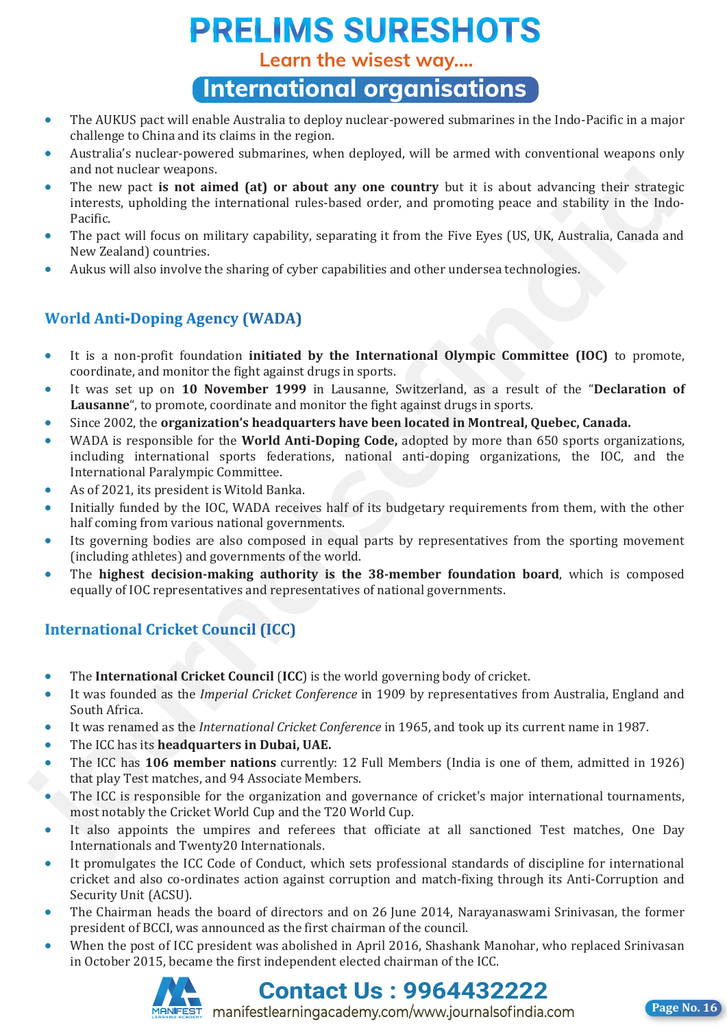**Learn the wisest way....**

**International organisations**

- The AUKUS pact will enable Australia to deploy nuclear-powered submarines in the Indo-Pacific in a major challenge to China and its claims in the region.
- Australia's nuclear-powered submarines, when deployed, will be armed with conventional weapons only and not nuclear weapons.
- The new pact **is not aimed (at) or about any one country** but it is about advancing their strategic interests, upholding the international rules-based order, and promoting peace and stability in the Indo-Pacific.
- The pact will focus on military capability, separating it from the Five Eyes (US, UK, Australia, Canada and New Zealand) countries.
- Aukus will also involve the sharing of cyber capabilities and other undersea technologies.

- It is a non-profit foundation **initiated by the International Olympic Committee (IOC)** to promote, coordinate, and monitor the fight against drugs in sports.
- It was set up on **10 November 1999** in Lausanne, Switzerland, as a result of the "**Declaration of Lausanne**", to promote, coordinate and monitor the fight against drugs in sports.
- Since 2002, the **organization's headquarters have been located in Montreal, Quebec, Canada.**
- WADA is responsible for the **World Anti-Doping Code,** adopted by more than 650 sports organizations, including international sports federations, national anti-doping organizations, the IOC, and the International Paralympic Committee. and not hueler weapons.<br> **journalistic wealth and the state of the state of the state of the state of the state of the state of the state of the state of the methods of the methods of the methods of the methods in the meth** 
	- As of 2021, its president is Witold Banka.
	- Initially funded by the IOC, WADA receives half of its budgetary requirements from them, with the other half coming from various national governments.
	- Its governing bodies are also composed in equal parts by representatives from the sporting movement (including athletes) and governments of the world.
	- The **highest decision-making authority is the 38-member foundation board**, which is composed equally of IOC representatives and representatives of national governments.

- The **International Cricket Council** (**ICC**) is the world governing body of cricket.
- It was founded as the *Imperial Cricket Conference* in 1909 by representatives from Australia, England and South Africa.
- It was renamed as the *International Cricket Conference* in 1965, and took up its current name in 1987.
- The ICC has its **headquarters in Dubai, UAE.**
- The ICC has **106 member nations** currently: 12 Full Members (India is one of them, admitted in 1926) that play Test matches, and 94 Associate Members.
- The ICC is responsible for the organization and governance of cricket's major international tournaments, most notably the Cricket World Cup and the T20 World Cup.
- It also appoints the umpires and referees that officiate at all sanctioned Test matches, One Day Internationals and Twenty20 Internationals.
- It promulgates the ICC Code of Conduct, which sets professional standards of discipline for international cricket and also co-ordinates action against corruption and match-fixing through its Anti-Corruption and Security Unit (ACSU).
- The Chairman heads the board of directors and on 26 June 2014, Narayanaswami Srinivasan, the former president of BCCI, was announced as the first chairman of the council.
- When the post of ICC president was abolished in April 2016, Shashank Manohar, who replaced Srinivasan in October 2015, became the first independent elected chairman of the ICC.